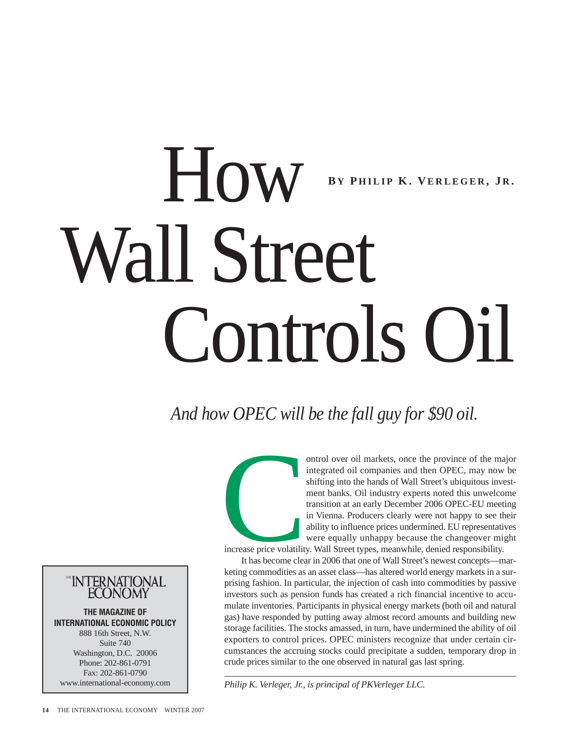# How Wall Street Controls Oil **B Y P HILIP K. V ERLEGER , J R .**

*And how OPEC will be the fall guy for \$90 oil.*

ontrol over oil markets, once the province of the major<br>integrated oil companies and then OPEC, may now be<br>shifting into the hands of Wall Street's ubiquitous invest-<br>ment banks. Oil industry experts noted this unwelcome<br>t integrated oil companies and then OPEC, may now be shifting into the hands of Wall Street's ubiquitous investment banks. Oil industry experts noted this unwelcome transition at an early December 2006 OPEC-EU meeting in Vienna. Producers clearly were not happy to see their ability to influence prices undermined. EU representatives were equally unhappy because the changeover might

increase price volatility. Wall Street types, meanwhile, denied responsibility.

It has become clear in 2006 that one of Wall Street's newest concepts—marketing commodities as an asset class—has altered world energy markets in a surprising fashion. In particular, the injection of cash into commodities by passive investors such as pension funds has created a rich financial incentive to accumulate inventories. Participants in physical energy markets (both oil and natural gas) have responded by putting away almost record amounts and building new storage facilities. The stocks amassed, in turn, have undermined the ability of oil exporters to control prices. OPEC ministers recognize that under certain circumstances the accruing stocks could precipitate a sudden, temporary drop in crude prices similar to the one observed in natural gas last spring.

*Philip K. Verleger, Jr., is principal of PKVerleger LLC.*

™INTERNATIONAL

**THE MAGAZINE OF INTERNATIONAL ECONOMIC POLICY** 888 16th Street, N.W. Suite 740 Washington, D.C. 20006 Phone: 202-861-0791 Fax: 202-861-0790 www.international-economy.com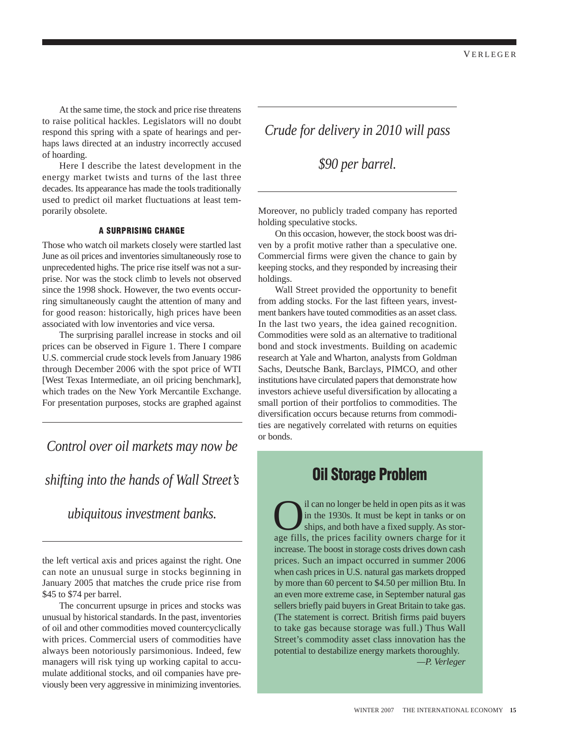At the same time, the stock and price rise threatens to raise political hackles. Legislators will no doubt respond this spring with a spate of hearings and perhaps laws directed at an industry incorrectly accused of hoarding.

Here I describe the latest development in the energy market twists and turns of the last three decades. Its appearance has made the tools traditionally used to predict oil market fluctuations at least temporarily obsolete.

### **A SURPRISING CHANGE**

Those who watch oil markets closely were startled last June as oil prices and inventories simultaneously rose to unprecedented highs. The price rise itself was not a surprise. Nor was the stock climb to levels not observed since the 1998 shock. However, the two events occurring simultaneously caught the attention of many and for good reason: historically, high prices have been associated with low inventories and vice versa.

The surprising parallel increase in stocks and oil prices can be observed in Figure 1. There I compare U.S. commercial crude stock levels from January 1986 through December 2006 with the spot price of WTI [West Texas Intermediate, an oil pricing benchmark], which trades on the New York Mercantile Exchange. For presentation purposes, stocks are graphed against

*Control over oil markets may now be*

# *shifting into the hands of Wall Street's*

# *ubiquitous investment banks.*

the left vertical axis and prices against the right. One can note an unusual surge in stocks beginning in January 2005 that matches the crude price rise from \$45 to \$74 per barrel.

The concurrent upsurge in prices and stocks was unusual by historical standards. In the past, inventories of oil and other commodities moved countercyclically with prices. Commercial users of commodities have always been notoriously parsimonious. Indeed, few managers will risk tying up working capital to accumulate additional stocks, and oil companies have previously been very aggressive in minimizing inventories.

# *Crude for delivery in 2010 will pass*

*\$90 per barrel.* 

Moreover, no publicly traded company has reported holding speculative stocks.

On this occasion, however, the stock boost was driven by a profit motive rather than a speculative one. Commercial firms were given the chance to gain by keeping stocks, and they responded by increasing their holdings.

Wall Street provided the opportunity to benefit from adding stocks. For the last fifteen years, investment bankers have touted commodities as an asset class. In the last two years, the idea gained recognition. Commodities were sold as an alternative to traditional bond and stock investments. Building on academic research at Yale and Wharton, analysts from Goldman Sachs, Deutsche Bank, Barclays, PIMCO, and other institutions have circulated papers that demonstrate how investors achieve useful diversification by allocating a small portion of their portfolios to commodities. The diversification occurs because returns from commodities are negatively correlated with returns on equities or bonds.

# **Oil Storage Problem**

I can no longer be held in open pits as it was<br>in the 1930s. It must be kept in tanks or on<br>ships, and both have a fixed supply. As stor-<br>age fills, the prices facility owners charge for it in the 1930s. It must be kept in tanks or on ships, and both have a fixed supply. As storage fills, the prices facility owners charge for it increase. The boost in storage costs drives down cash prices. Such an impact occurred in summer 2006 when cash prices in U.S. natural gas markets dropped by more than 60 percent to \$4.50 per million Btu. In an even more extreme case, in September natural gas sellers briefly paid buyers in Great Britain to take gas. (The statement is correct. British firms paid buyers to take gas because storage was full.) Thus Wall Street's commodity asset class innovation has the potential to destabilize energy markets thoroughly.

*—P. Verleger*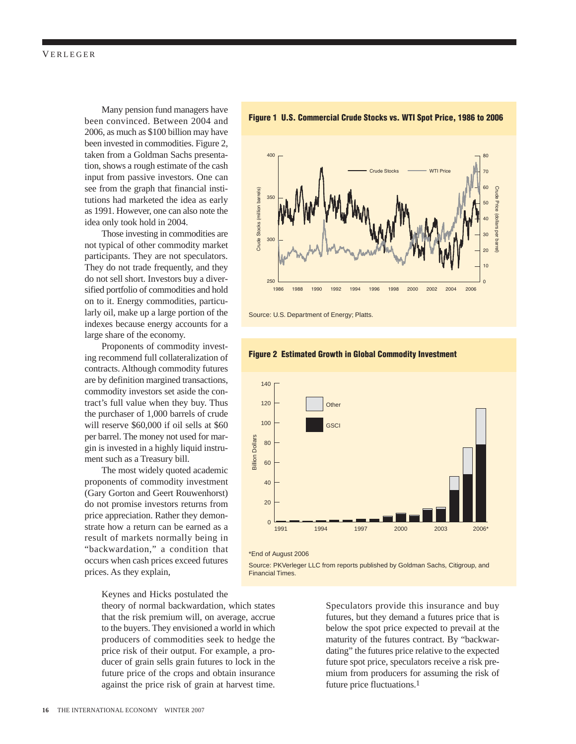Many pension fund managers have been convinced. Between 2004 and 2006, as much as \$100 billion may have been invested in commodities. Figure 2, taken from a Goldman Sachs presentation, shows a rough estimate of the cash input from passive investors. One can see from the graph that financial institutions had marketed the idea as early as 1991. However, one can also note the idea only took hold in 2004.

Those investing in commodities are not typical of other commodity market participants. They are not speculators. They do not trade frequently, and they do not sell short. Investors buy a diversified portfolio of commodities and hold on to it. Energy commodities, particularly oil, make up a large portion of the indexes because energy accounts for a large share of the economy.

Proponents of commodity investing recommend full collateralization of contracts. Although commodity futures are by definition margined transactions, commodity investors set aside the contract's full value when they buy. Thus the purchaser of 1,000 barrels of crude will reserve \$60,000 if oil sells at \$60 per barrel. The money not used for margin is invested in a highly liquid instrument such as a Treasury bill.

The most widely quoted academic proponents of commodity investment (Gary Gorton and Geert Rouwenhorst) do not promise investors returns from price appreciation. Rather they demonstrate how a return can be earned as a result of markets normally being in "backwardation," a condition that occurs when cash prices exceed futures prices. As they explain,

Keynes and Hicks postulated the

theory of normal backwardation, which states that the risk premium will, on average, accrue to the buyers. They envisioned a world in which producers of commodities seek to hedge the price risk of their output. For example, a producer of grain sells grain futures to lock in the future price of the crops and obtain insurance against the price risk of grain at harvest time.

Financial Times.





**Figure 1 U.S. Commercial Crude Stocks vs. WTI Spot Price, 1986 to 2006**

Source: U.S. Department of Energy; Platts.



Source: PKVerleger LLC from reports published by Goldman Sachs, Citigroup, and

### **Figure 2 Estimated Growth in Global Commodity Investment**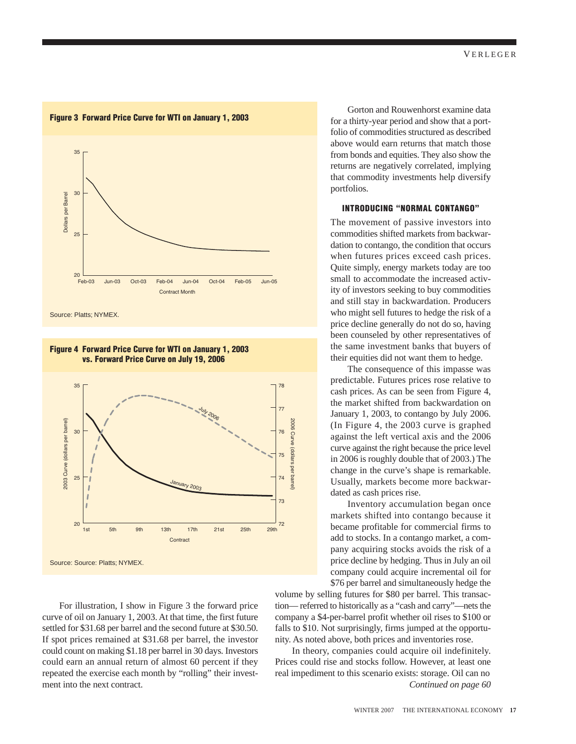

Source: Platts; NYMEX.

### **Figure 4 Forward Price Curve for WTI on January 1, 2003 vs. Forward Price Curve on July 19, 2006**



For illustration, I show in Figure 3 the forward price curve of oil on January 1, 2003. At that time, the first future settled for \$31.68 per barrel and the second future at \$30.50. If spot prices remained at \$31.68 per barrel, the investor could count on making \$1.18 per barrel in 30 days. Investors could earn an annual return of almost 60 percent if they repeated the exercise each month by "rolling" their investment into the next contract.

Gorton and Rouwenhorst examine data for a thirty-year period and show that a portfolio of commodities structured as described above would earn returns that match those from bonds and equities. They also show the returns are negatively correlated, implying that commodity investments help diversify portfolios.

### **INTRODUCING "NORMAL CONTANGO"**

The movement of passive investors into commodities shifted markets from backwardation to contango, the condition that occurs when futures prices exceed cash prices. Quite simply, energy markets today are too small to accommodate the increased activity of investors seeking to buy commodities and still stay in backwardation. Producers who might sell futures to hedge the risk of a price decline generally do not do so, having been counseled by other representatives of the same investment banks that buyers of their equities did not want them to hedge.

The consequence of this impasse was predictable. Futures prices rose relative to cash prices. As can be seen from Figure 4, the market shifted from backwardation on January 1, 2003, to contango by July 2006. (In Figure 4, the 2003 curve is graphed against the left vertical axis and the 2006 curve against the right because the price level in 2006 is roughly double that of 2003.) The change in the curve's shape is remarkable. Usually, markets become more backwardated as cash prices rise.

Inventory accumulation began once markets shifted into contango because it became profitable for commercial firms to add to stocks. In a contango market, a company acquiring stocks avoids the risk of a price decline by hedging. Thus in July an oil company could acquire incremental oil for \$76 per barrel and simultaneously hedge the

volume by selling futures for \$80 per barrel. This transaction— referred to historically as a "cash and carry"—nets the company a \$4-per-barrel profit whether oil rises to \$100 or falls to \$10. Not surprisingly, firms jumped at the opportunity. As noted above, both prices and inventories rose.

In theory, companies could acquire oil indefinitely. Prices could rise and stocks follow. However, at least one real impediment to this scenario exists: storage. Oil can no *Continued on page 60*